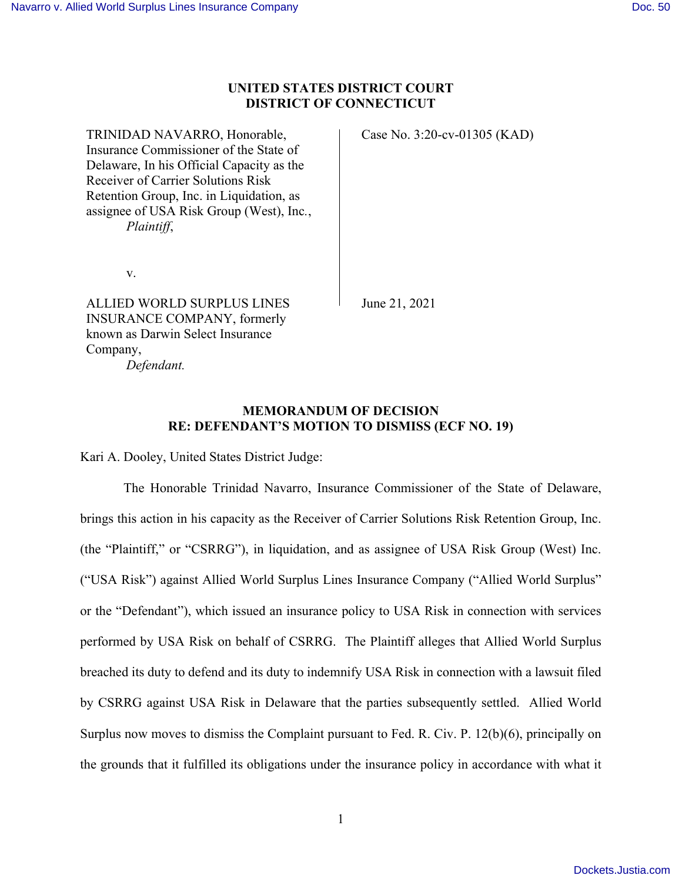# **UNITED STATES DISTRICT COURT DISTRICT OF CONNECTICUT**

TRINIDAD NAVARRO, Honorable, Insurance Commissioner of the State of Delaware, In his Official Capacity as the Receiver of Carrier Solutions Risk Retention Group, Inc. in Liquidation, as assignee of USA Risk Group (West), Inc*.*, *Plaintiff*,

v.

ALLIED WORLD SURPLUS LINES INSURANCE COMPANY, formerly known as Darwin Select Insurance Company, *Defendant.* 

Case No. 3:20-cv-01305 (KAD)

June 21, 2021

# **MEMORANDUM OF DECISION RE: DEFENDANT'S MOTION TO DISMISS (ECF NO. 19)**

Kari A. Dooley, United States District Judge:

 The Honorable Trinidad Navarro, Insurance Commissioner of the State of Delaware, brings this action in his capacity as the Receiver of Carrier Solutions Risk Retention Group, Inc. (the "Plaintiff," or "CSRRG"), in liquidation, and as assignee of USA Risk Group (West) Inc. ("USA Risk") against Allied World Surplus Lines Insurance Company ("Allied World Surplus" or the "Defendant"), which issued an insurance policy to USA Risk in connection with services performed by USA Risk on behalf of CSRRG. The Plaintiff alleges that Allied World Surplus breached its duty to defend and its duty to indemnify USA Risk in connection with a lawsuit filed by CSRRG against USA Risk in Delaware that the parties subsequently settled. Allied World Surplus now moves to dismiss the Complaint pursuant to Fed. R. Civ. P. 12(b)(6), principally on the grounds that it fulfilled its obligations under the insurance policy in accordance with what it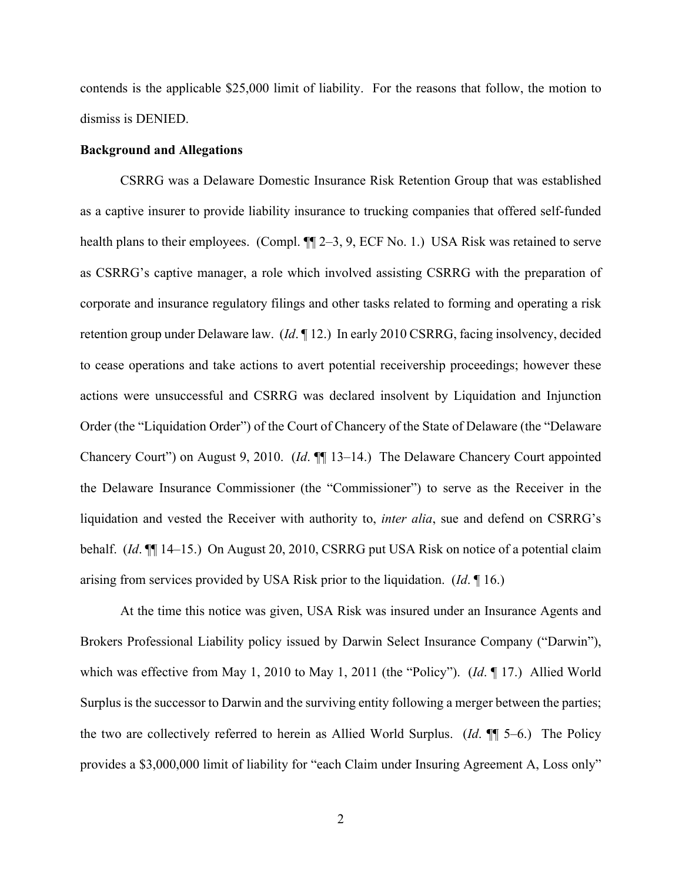contends is the applicable \$25,000 limit of liability. For the reasons that follow, the motion to dismiss is DENIED.

#### **Background and Allegations**

CSRRG was a Delaware Domestic Insurance Risk Retention Group that was established as a captive insurer to provide liability insurance to trucking companies that offered self-funded health plans to their employees. (Compl.  $\P$ [2–3, 9, ECF No. 1.) USA Risk was retained to serve as CSRRG's captive manager, a role which involved assisting CSRRG with the preparation of corporate and insurance regulatory filings and other tasks related to forming and operating a risk retention group under Delaware law. (*Id*. ¶ 12.) In early 2010 CSRRG, facing insolvency, decided to cease operations and take actions to avert potential receivership proceedings; however these actions were unsuccessful and CSRRG was declared insolvent by Liquidation and Injunction Order (the "Liquidation Order") of the Court of Chancery of the State of Delaware (the "Delaware Chancery Court") on August 9, 2010. (*Id*. ¶¶ 13–14.) The Delaware Chancery Court appointed the Delaware Insurance Commissioner (the "Commissioner") to serve as the Receiver in the liquidation and vested the Receiver with authority to, *inter alia*, sue and defend on CSRRG's behalf. (*Id*. ¶¶ 14–15.) On August 20, 2010, CSRRG put USA Risk on notice of a potential claim arising from services provided by USA Risk prior to the liquidation. (*Id*. ¶ 16.)

At the time this notice was given, USA Risk was insured under an Insurance Agents and Brokers Professional Liability policy issued by Darwin Select Insurance Company ("Darwin"), which was effective from May 1, 2010 to May 1, 2011 (the "Policy"). (*Id*. ¶ 17.) Allied World Surplus is the successor to Darwin and the surviving entity following a merger between the parties; the two are collectively referred to herein as Allied World Surplus. (*Id*. ¶¶ 5–6.) The Policy provides a \$3,000,000 limit of liability for "each Claim under Insuring Agreement A, Loss only"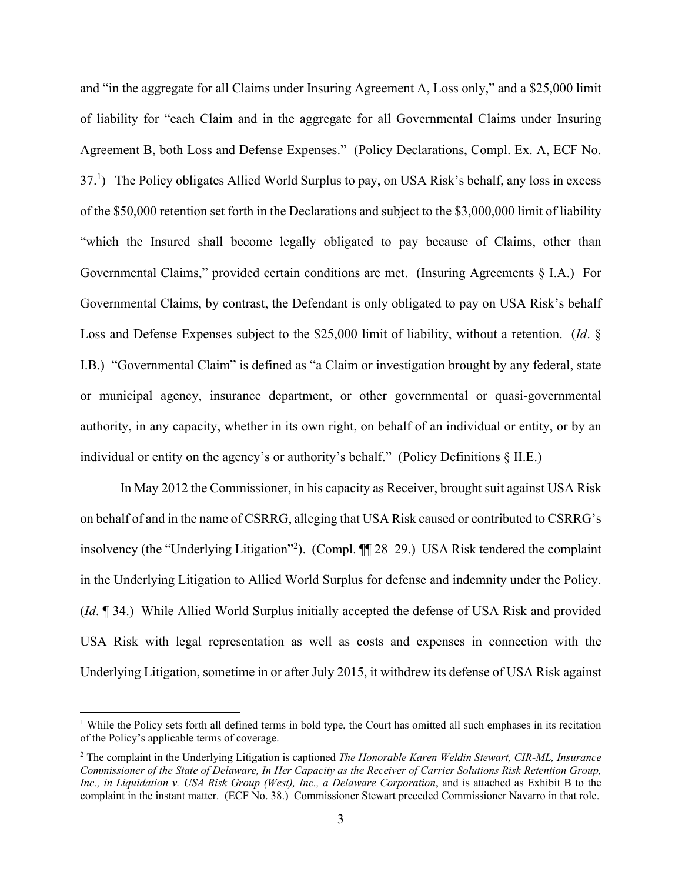and "in the aggregate for all Claims under Insuring Agreement A, Loss only," and a \$25,000 limit of liability for "each Claim and in the aggregate for all Governmental Claims under Insuring Agreement B, both Loss and Defense Expenses." (Policy Declarations, Compl. Ex. A, ECF No. 37.<sup>1</sup> ) The Policy obligates Allied World Surplus to pay, on USA Risk's behalf, any loss in excess of the \$50,000 retention set forth in the Declarations and subject to the \$3,000,000 limit of liability "which the Insured shall become legally obligated to pay because of Claims, other than Governmental Claims," provided certain conditions are met. (Insuring Agreements § I.A.) For Governmental Claims, by contrast, the Defendant is only obligated to pay on USA Risk's behalf Loss and Defense Expenses subject to the \$25,000 limit of liability, without a retention. (*Id*. § I.B.) "Governmental Claim" is defined as "a Claim or investigation brought by any federal, state or municipal agency, insurance department, or other governmental or quasi-governmental authority, in any capacity, whether in its own right, on behalf of an individual or entity, or by an individual or entity on the agency's or authority's behalf." (Policy Definitions § II.E.)

In May 2012 the Commissioner, in his capacity as Receiver, brought suit against USA Risk on behalf of and in the name of CSRRG, alleging that USA Risk caused or contributed to CSRRG's insolvency (the "Underlying Litigation"<sup>2</sup>). (Compl. ¶ 28–29.) USA Risk tendered the complaint in the Underlying Litigation to Allied World Surplus for defense and indemnity under the Policy. (*Id*. ¶ 34.) While Allied World Surplus initially accepted the defense of USA Risk and provided USA Risk with legal representation as well as costs and expenses in connection with the Underlying Litigation, sometime in or after July 2015, it withdrew its defense of USA Risk against

<sup>&</sup>lt;sup>1</sup> While the Policy sets forth all defined terms in bold type, the Court has omitted all such emphases in its recitation of the Policy's applicable terms of coverage.

<sup>2</sup> The complaint in the Underlying Litigation is captioned *The Honorable Karen Weldin Stewart, CIR-ML, Insurance Commissioner of the State of Delaware, In Her Capacity as the Receiver of Carrier Solutions Risk Retention Group, Inc., in Liquidation v. USA Risk Group (West), Inc., a Delaware Corporation*, and is attached as Exhibit B to the complaint in the instant matter. (ECF No. 38.) Commissioner Stewart preceded Commissioner Navarro in that role.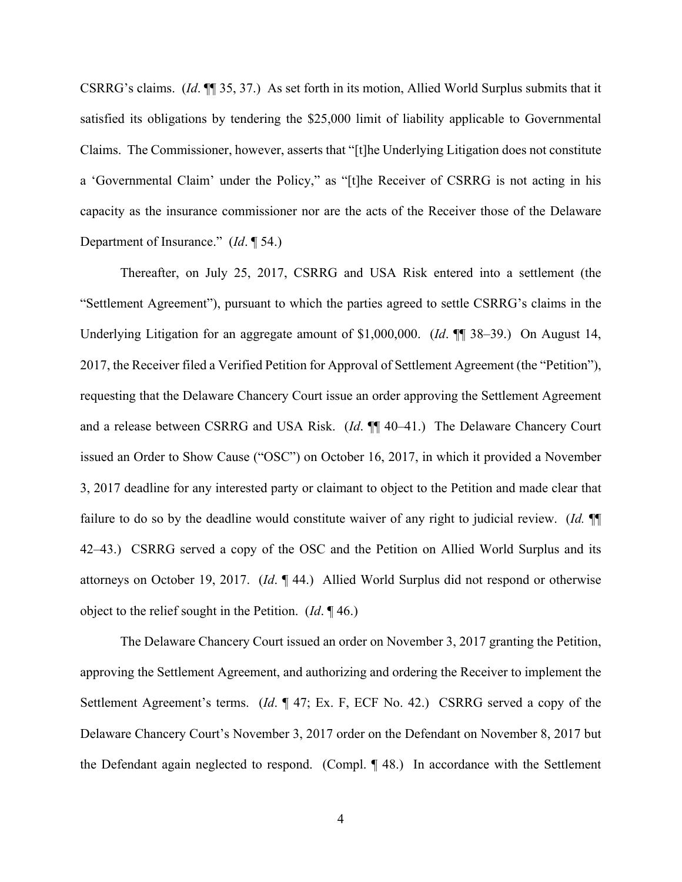CSRRG's claims. (*Id*. ¶¶ 35, 37.) As set forth in its motion, Allied World Surplus submits that it satisfied its obligations by tendering the \$25,000 limit of liability applicable to Governmental Claims. The Commissioner, however, asserts that "[t]he Underlying Litigation does not constitute a 'Governmental Claim' under the Policy," as "[t]he Receiver of CSRRG is not acting in his capacity as the insurance commissioner nor are the acts of the Receiver those of the Delaware Department of Insurance." (*Id*. ¶ 54.)

Thereafter, on July 25, 2017, CSRRG and USA Risk entered into a settlement (the "Settlement Agreement"), pursuant to which the parties agreed to settle CSRRG's claims in the Underlying Litigation for an aggregate amount of \$1,000,000. (*Id*. ¶¶ 38–39.) On August 14, 2017, the Receiver filed a Verified Petition for Approval of Settlement Agreement (the "Petition"), requesting that the Delaware Chancery Court issue an order approving the Settlement Agreement and a release between CSRRG and USA Risk. (*Id*. ¶¶ 40–41.) The Delaware Chancery Court issued an Order to Show Cause ("OSC") on October 16, 2017, in which it provided a November 3, 2017 deadline for any interested party or claimant to object to the Petition and made clear that failure to do so by the deadline would constitute waiver of any right to judicial review. (*Id.* ¶¶ 42–43.) CSRRG served a copy of the OSC and the Petition on Allied World Surplus and its attorneys on October 19, 2017. (*Id*. ¶ 44.) Allied World Surplus did not respond or otherwise object to the relief sought in the Petition. (*Id*. ¶ 46.)

The Delaware Chancery Court issued an order on November 3, 2017 granting the Petition, approving the Settlement Agreement, and authorizing and ordering the Receiver to implement the Settlement Agreement's terms. (*Id*. ¶ 47; Ex. F, ECF No. 42.) CSRRG served a copy of the Delaware Chancery Court's November 3, 2017 order on the Defendant on November 8, 2017 but the Defendant again neglected to respond. (Compl. ¶ 48.) In accordance with the Settlement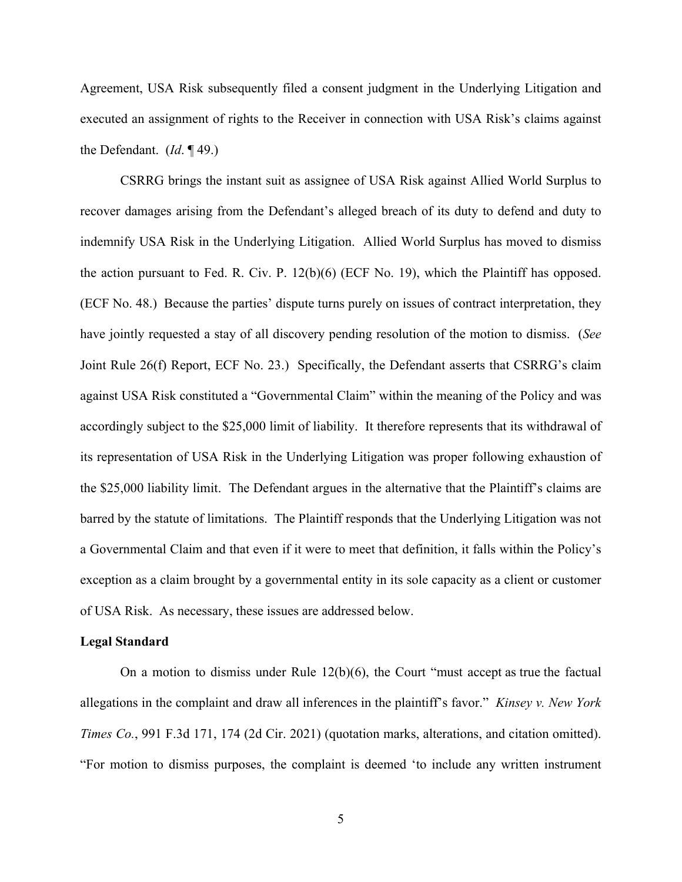Agreement, USA Risk subsequently filed a consent judgment in the Underlying Litigation and executed an assignment of rights to the Receiver in connection with USA Risk's claims against the Defendant. (*Id*. ¶ 49.)

CSRRG brings the instant suit as assignee of USA Risk against Allied World Surplus to recover damages arising from the Defendant's alleged breach of its duty to defend and duty to indemnify USA Risk in the Underlying Litigation. Allied World Surplus has moved to dismiss the action pursuant to Fed. R. Civ. P. 12(b)(6) (ECF No. 19), which the Plaintiff has opposed. (ECF No. 48.) Because the parties' dispute turns purely on issues of contract interpretation, they have jointly requested a stay of all discovery pending resolution of the motion to dismiss. (*See* Joint Rule 26(f) Report, ECF No. 23.) Specifically, the Defendant asserts that CSRRG's claim against USA Risk constituted a "Governmental Claim" within the meaning of the Policy and was accordingly subject to the \$25,000 limit of liability. It therefore represents that its withdrawal of its representation of USA Risk in the Underlying Litigation was proper following exhaustion of the \$25,000 liability limit. The Defendant argues in the alternative that the Plaintiff's claims are barred by the statute of limitations. The Plaintiff responds that the Underlying Litigation was not a Governmental Claim and that even if it were to meet that definition, it falls within the Policy's exception as a claim brought by a governmental entity in its sole capacity as a client or customer of USA Risk. As necessary, these issues are addressed below.

#### **Legal Standard**

On a motion to dismiss under Rule  $12(b)(6)$ , the Court "must accept as true the factual allegations in the complaint and draw all inferences in the plaintiff's favor." *Kinsey v. New York Times Co.*, 991 F.3d 171, 174 (2d Cir. 2021) (quotation marks, alterations, and citation omitted). "For motion to dismiss purposes, the complaint is deemed 'to include any written instrument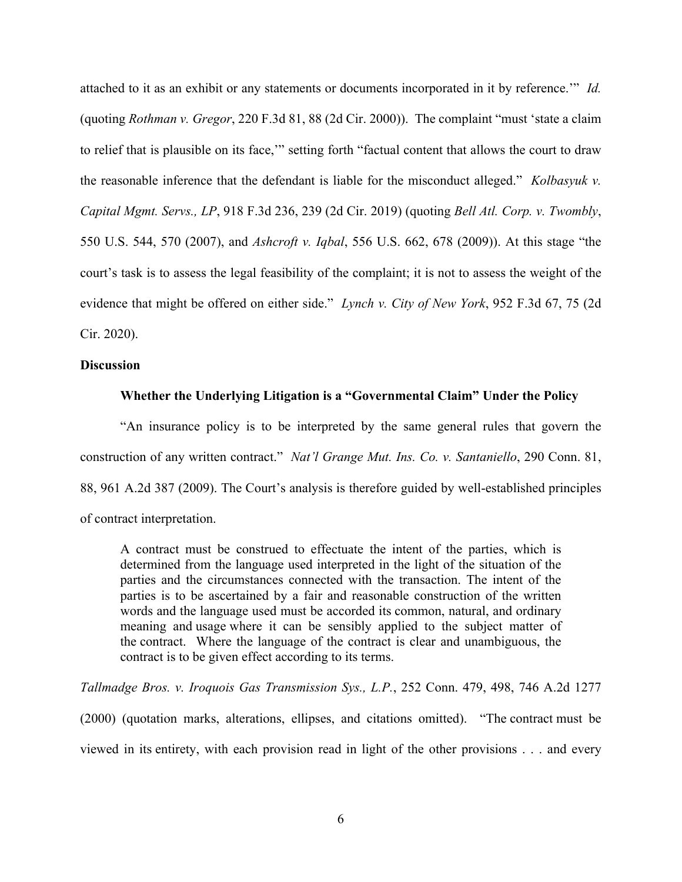attached to it as an exhibit or any statements or documents incorporated in it by reference.'" *Id.* (quoting *Rothman v. Gregor*, 220 F.3d 81, 88 (2d Cir. 2000)). The complaint "must 'state a claim to relief that is plausible on its face,'" setting forth "factual content that allows the court to draw the reasonable inference that the defendant is liable for the misconduct alleged." *Kolbasyuk v. Capital Mgmt. Servs., LP*, 918 F.3d 236, 239 (2d Cir. 2019) (quoting *Bell Atl. Corp. v. Twombly*, 550 U.S. 544, 570 (2007), and *Ashcroft v. Iqbal*, 556 U.S. 662, 678 (2009)). At this stage "the court's task is to assess the legal feasibility of the complaint; it is not to assess the weight of the evidence that might be offered on either side." *Lynch v. City of New York*, 952 F.3d 67, 75 (2d Cir. 2020).

### **Discussion**

### **Whether the Underlying Litigation is a "Governmental Claim" Under the Policy**

"An insurance policy is to be interpreted by the same general rules that govern the construction of any written contract." *Nat'l Grange Mut. Ins. Co. v. Santaniello*, 290 Conn. 81, 88, 961 A.2d 387 (2009). The Court's analysis is therefore guided by well-established principles of contract interpretation.

A contract must be construed to effectuate the intent of the parties, which is determined from the language used interpreted in the light of the situation of the parties and the circumstances connected with the transaction. The intent of the parties is to be ascertained by a fair and reasonable construction of the written words and the language used must be accorded its common, natural, and ordinary meaning and usage where it can be sensibly applied to the subject matter of the contract. Where the language of the contract is clear and unambiguous, the contract is to be given effect according to its terms.

*Tallmadge Bros. v. Iroquois Gas Transmission Sys., L.P.*, 252 Conn. 479, 498, 746 A.2d 1277

(2000) (quotation marks, alterations, ellipses, and citations omitted). "The contract must be viewed in its entirety, with each provision read in light of the other provisions . . . and every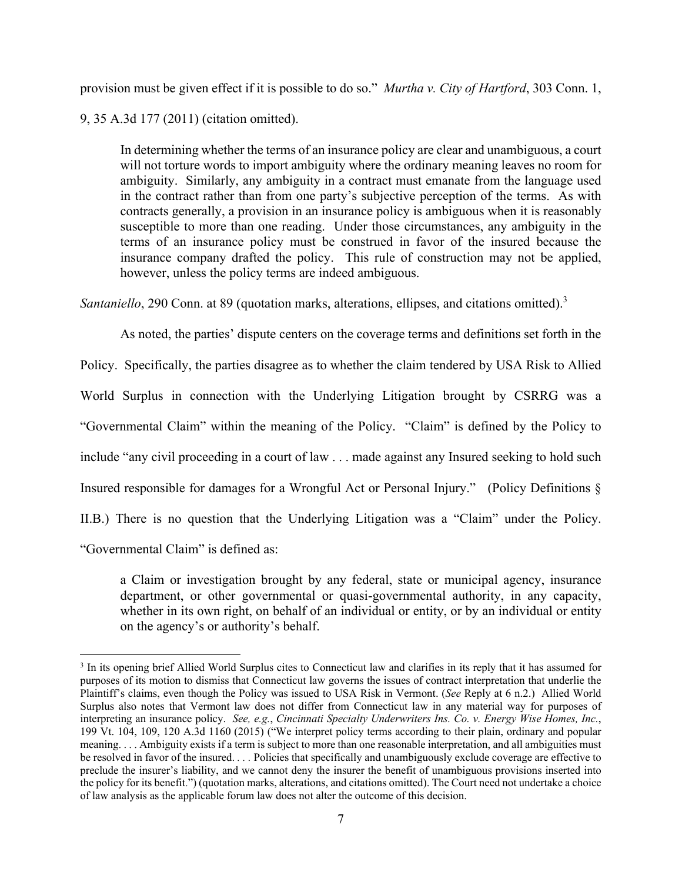provision must be given effect if it is possible to do so." *Murtha v. City of Hartford*, 303 Conn. 1,

9, 35 A.3d 177 (2011) (citation omitted).

In determining whether the terms of an insurance policy are clear and unambiguous, a court will not torture words to import ambiguity where the ordinary meaning leaves no room for ambiguity. Similarly, any ambiguity in a contract must emanate from the language used in the contract rather than from one party's subjective perception of the terms. As with contracts generally, a provision in an insurance policy is ambiguous when it is reasonably susceptible to more than one reading. Under those circumstances, any ambiguity in the terms of an insurance policy must be construed in favor of the insured because the insurance company drafted the policy. This rule of construction may not be applied, however, unless the policy terms are indeed ambiguous.

*Santaniello*, 290 Conn. at 89 (quotation marks, alterations, ellipses, and citations omitted).<sup>3</sup>

As noted, the parties' dispute centers on the coverage terms and definitions set forth in the Policy. Specifically, the parties disagree as to whether the claim tendered by USA Risk to Allied World Surplus in connection with the Underlying Litigation brought by CSRRG was a "Governmental Claim" within the meaning of the Policy. "Claim" is defined by the Policy to include "any civil proceeding in a court of law . . . made against any Insured seeking to hold such Insured responsible for damages for a Wrongful Act or Personal Injury." (Policy Definitions § II.B.) There is no question that the Underlying Litigation was a "Claim" under the Policy. "Governmental Claim" is defined as:

a Claim or investigation brought by any federal, state or municipal agency, insurance department, or other governmental or quasi-governmental authority, in any capacity, whether in its own right, on behalf of an individual or entity, or by an individual or entity on the agency's or authority's behalf.

<sup>&</sup>lt;sup>3</sup> In its opening brief Allied World Surplus cites to Connecticut law and clarifies in its reply that it has assumed for purposes of its motion to dismiss that Connecticut law governs the issues of contract interpretation that underlie the Plaintiff's claims, even though the Policy was issued to USA Risk in Vermont. (*See* Reply at 6 n.2.) Allied World Surplus also notes that Vermont law does not differ from Connecticut law in any material way for purposes of interpreting an insurance policy. *See, e.g.*, *Cincinnati Specialty Underwriters Ins. Co. v. Energy Wise Homes, Inc.*, 199 Vt. 104, 109, 120 A.3d 1160 (2015) ("We interpret policy terms according to their plain, ordinary and popular meaning. . . . Ambiguity exists if a term is subject to more than one reasonable interpretation, and all ambiguities must be resolved in favor of the insured. *. . .* Policies that specifically and unambiguously exclude coverage are effective to preclude the insurer's liability, and we cannot deny the insurer the benefit of unambiguous provisions inserted into the policy for its benefit.") (quotation marks, alterations, and citations omitted). The Court need not undertake a choice of law analysis as the applicable forum law does not alter the outcome of this decision.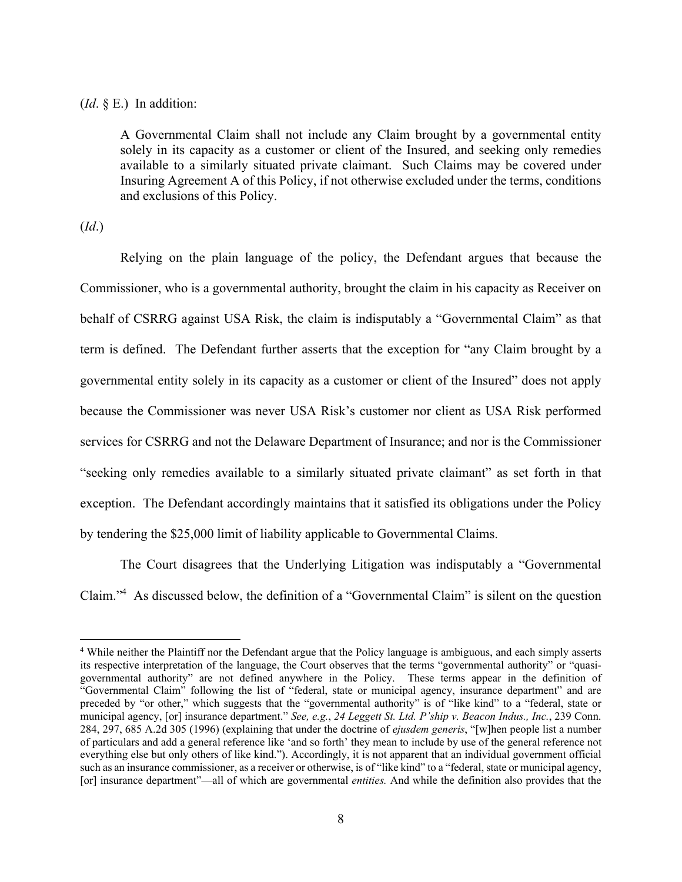## (*Id*. § E.) In addition:

A Governmental Claim shall not include any Claim brought by a governmental entity solely in its capacity as a customer or client of the Insured, and seeking only remedies available to a similarly situated private claimant. Such Claims may be covered under Insuring Agreement A of this Policy, if not otherwise excluded under the terms, conditions and exclusions of this Policy.

# (*Id*.)

 Relying on the plain language of the policy, the Defendant argues that because the Commissioner, who is a governmental authority, brought the claim in his capacity as Receiver on behalf of CSRRG against USA Risk, the claim is indisputably a "Governmental Claim" as that term is defined. The Defendant further asserts that the exception for "any Claim brought by a governmental entity solely in its capacity as a customer or client of the Insured" does not apply because the Commissioner was never USA Risk's customer nor client as USA Risk performed services for CSRRG and not the Delaware Department of Insurance; and nor is the Commissioner "seeking only remedies available to a similarly situated private claimant" as set forth in that exception. The Defendant accordingly maintains that it satisfied its obligations under the Policy by tendering the \$25,000 limit of liability applicable to Governmental Claims.

The Court disagrees that the Underlying Litigation was indisputably a "Governmental Claim."<sup>4</sup> As discussed below, the definition of a "Governmental Claim" is silent on the question

<sup>&</sup>lt;sup>4</sup> While neither the Plaintiff nor the Defendant argue that the Policy language is ambiguous, and each simply asserts its respective interpretation of the language, the Court observes that the terms "governmental authority" or "quasigovernmental authority" are not defined anywhere in the Policy. These terms appear in the definition of "Governmental Claim" following the list of "federal, state or municipal agency, insurance department" and are preceded by "or other," which suggests that the "governmental authority" is of "like kind" to a "federal, state or municipal agency, [or] insurance department." *See, e.g.*, *24 Leggett St. Ltd. P'ship v. Beacon Indus., Inc.*, 239 Conn. 284, 297, 685 A.2d 305 (1996) (explaining that under the doctrine of *ejusdem generis*, "[w]hen people list a number of particulars and add a general reference like 'and so forth' they mean to include by use of the general reference not everything else but only others of like kind."). Accordingly, it is not apparent that an individual government official such as an insurance commissioner, as a receiver or otherwise, is of "like kind" to a "federal, state or municipal agency, [or] insurance department"—all of which are governmental *entities.* And while the definition also provides that the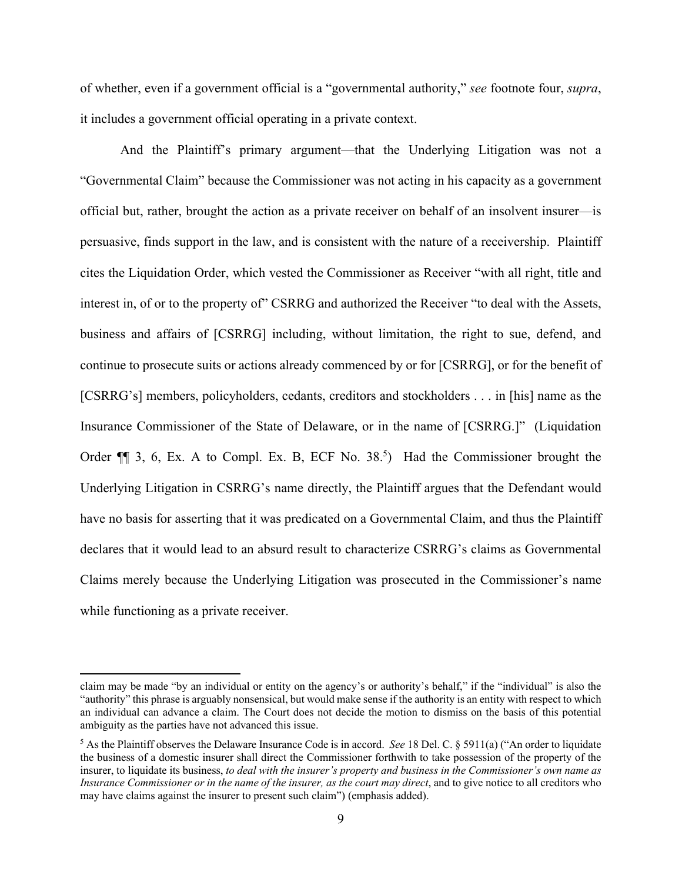of whether, even if a government official is a "governmental authority," *see* footnote four, *supra*, it includes a government official operating in a private context.

 And the Plaintiff's primary argument—that the Underlying Litigation was not a "Governmental Claim" because the Commissioner was not acting in his capacity as a government official but, rather, brought the action as a private receiver on behalf of an insolvent insurer—is persuasive, finds support in the law, and is consistent with the nature of a receivership. Plaintiff cites the Liquidation Order, which vested the Commissioner as Receiver "with all right, title and interest in, of or to the property of" CSRRG and authorized the Receiver "to deal with the Assets, business and affairs of [CSRRG] including, without limitation, the right to sue, defend, and continue to prosecute suits or actions already commenced by or for [CSRRG], or for the benefit of [CSRRG's] members, policyholders, cedants, creditors and stockholders . . . in [his] name as the Insurance Commissioner of the State of Delaware, or in the name of [CSRRG.]" (Liquidation Order  $\P$  3, 6, Ex. A to Compl. Ex. B, ECF No. 38.<sup>5</sup>) Had the Commissioner brought the Underlying Litigation in CSRRG's name directly, the Plaintiff argues that the Defendant would have no basis for asserting that it was predicated on a Governmental Claim, and thus the Plaintiff declares that it would lead to an absurd result to characterize CSRRG's claims as Governmental Claims merely because the Underlying Litigation was prosecuted in the Commissioner's name while functioning as a private receiver.

claim may be made "by an individual or entity on the agency's or authority's behalf," if the "individual" is also the "authority" this phrase is arguably nonsensical, but would make sense if the authority is an entity with respect to which an individual can advance a claim. The Court does not decide the motion to dismiss on the basis of this potential ambiguity as the parties have not advanced this issue.

<sup>5</sup> As the Plaintiff observes the Delaware Insurance Code is in accord. *See* 18 Del. C. § 5911(a) ("An order to liquidate the business of a domestic insurer shall direct the Commissioner forthwith to take possession of the property of the insurer, to liquidate its business, *to deal with the insurer's property and business in the Commissioner's own name as Insurance Commissioner or in the name of the insurer, as the court may direct*, and to give notice to all creditors who may have claims against the insurer to present such claim") (emphasis added).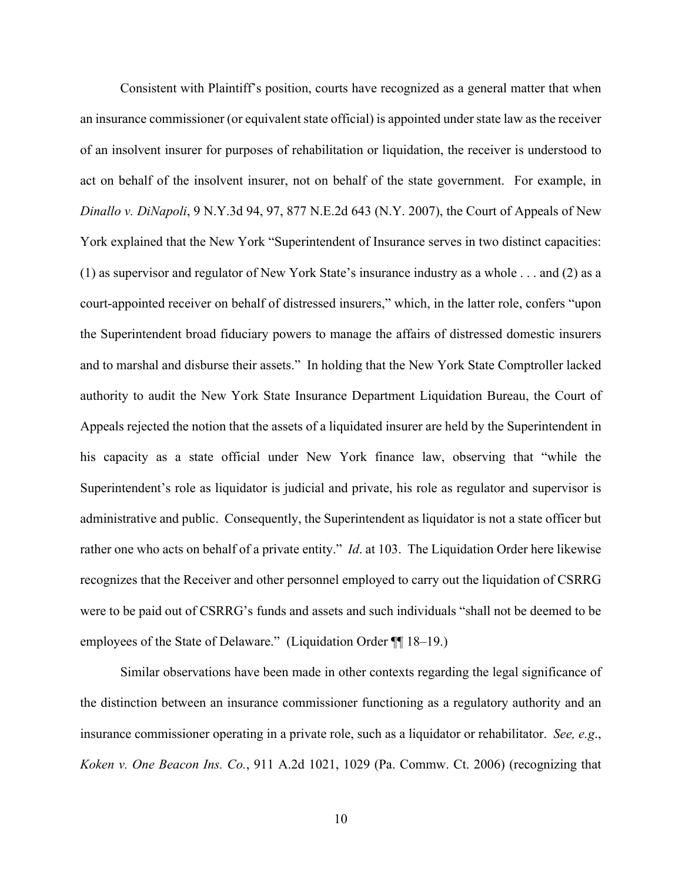Consistent with Plaintiff's position, courts have recognized as a general matter that when an insurance commissioner (or equivalent state official) is appointed under state law as the receiver of an insolvent insurer for purposes of rehabilitation or liquidation, the receiver is understood to act on behalf of the insolvent insurer, not on behalf of the state government. For example, in *Dinallo v. DiNapoli*, 9 N.Y.3d 94, 97, 877 N.E.2d 643 (N.Y. 2007), the Court of Appeals of New York explained that the New York "Superintendent of Insurance serves in two distinct capacities: (1) as supervisor and regulator of New York State's insurance industry as a whole . . . and (2) as a court-appointed receiver on behalf of distressed insurers," which, in the latter role, confers "upon the Superintendent broad fiduciary powers to manage the affairs of distressed domestic insurers and to marshal and disburse their assets." In holding that the New York State Comptroller lacked authority to audit the New York State Insurance Department Liquidation Bureau, the Court of Appeals rejected the notion that the assets of a liquidated insurer are held by the Superintendent in his capacity as a state official under New York finance law, observing that "while the Superintendent's role as liquidator is judicial and private, his role as regulator and supervisor is administrative and public. Consequently, the Superintendent as liquidator is not a state officer but rather one who acts on behalf of a private entity." *Id*. at 103. The Liquidation Order here likewise recognizes that the Receiver and other personnel employed to carry out the liquidation of CSRRG were to be paid out of CSRRG's funds and assets and such individuals "shall not be deemed to be employees of the State of Delaware." (Liquidation Order ¶¶ 18–19.)

Similar observations have been made in other contexts regarding the legal significance of the distinction between an insurance commissioner functioning as a regulatory authority and an insurance commissioner operating in a private role, such as a liquidator or rehabilitator. *See, e.g*., *Koken v. One Beacon Ins. Co.*, 911 A.2d 1021, 1029 (Pa. Commw. Ct. 2006) (recognizing that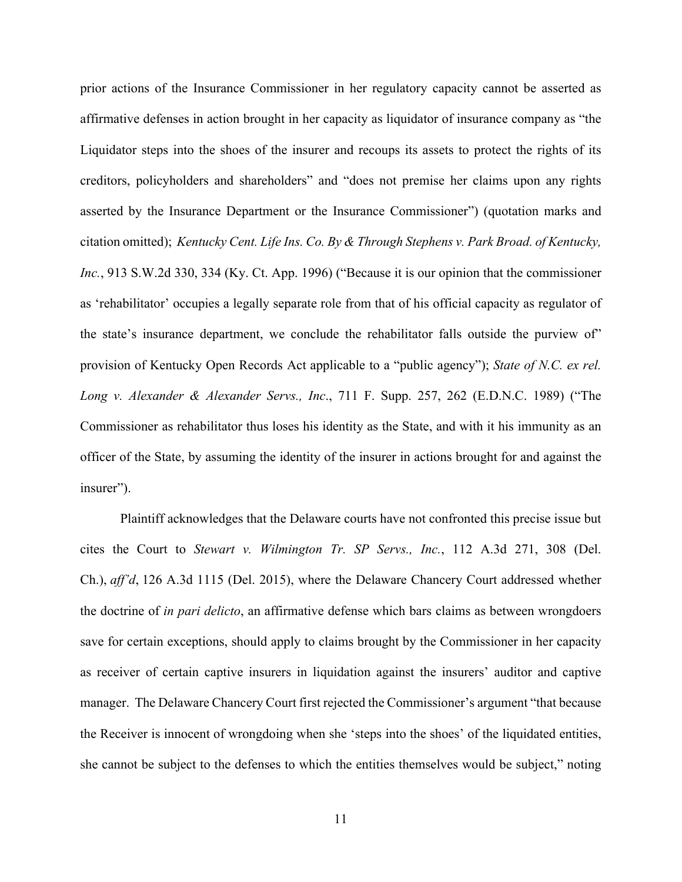prior actions of the Insurance Commissioner in her regulatory capacity cannot be asserted as affirmative defenses in action brought in her capacity as liquidator of insurance company as "the Liquidator steps into the shoes of the insurer and recoups its assets to protect the rights of its creditors, policyholders and shareholders" and "does not premise her claims upon any rights asserted by the Insurance Department or the Insurance Commissioner") (quotation marks and citation omitted); *Kentucky Cent. Life Ins. Co. By & Through Stephens v. Park Broad. of Kentucky, Inc.*, 913 S.W.2d 330, 334 (Ky. Ct. App. 1996) ("Because it is our opinion that the commissioner as 'rehabilitator' occupies a legally separate role from that of his official capacity as regulator of the state's insurance department, we conclude the rehabilitator falls outside the purview of" provision of Kentucky Open Records Act applicable to a "public agency"); *State of N.C. ex rel. Long v. Alexander & Alexander Servs., Inc*., 711 F. Supp. 257, 262 (E.D.N.C. 1989) ("The Commissioner as rehabilitator thus loses his identity as the State, and with it his immunity as an officer of the State, by assuming the identity of the insurer in actions brought for and against the insurer").

Plaintiff acknowledges that the Delaware courts have not confronted this precise issue but cites the Court to *Stewart v. Wilmington Tr. SP Servs., Inc.*, 112 A.3d 271, 308 (Del. Ch.), *aff'd*, 126 A.3d 1115 (Del. 2015), where the Delaware Chancery Court addressed whether the doctrine of *in pari delicto*, an affirmative defense which bars claims as between wrongdoers save for certain exceptions, should apply to claims brought by the Commissioner in her capacity as receiver of certain captive insurers in liquidation against the insurers' auditor and captive manager. The Delaware Chancery Court first rejected the Commissioner's argument "that because the Receiver is innocent of wrongdoing when she 'steps into the shoes' of the liquidated entities, she cannot be subject to the defenses to which the entities themselves would be subject," noting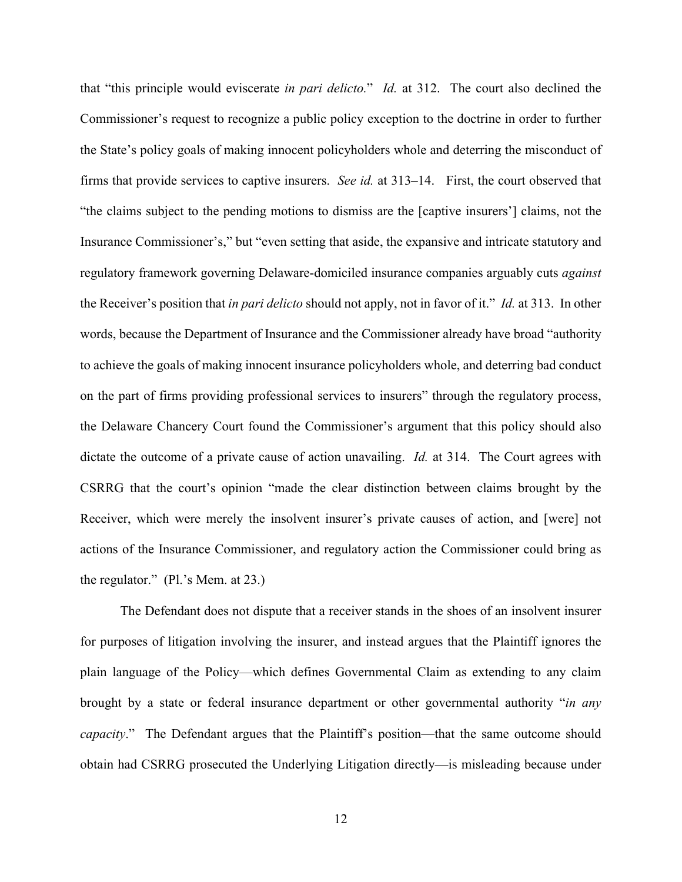that "this principle would eviscerate *in pari delicto.*" *Id.* at 312. The court also declined the Commissioner's request to recognize a public policy exception to the doctrine in order to further the State's policy goals of making innocent policyholders whole and deterring the misconduct of firms that provide services to captive insurers. *See id.* at 313–14. First, the court observed that "the claims subject to the pending motions to dismiss are the [captive insurers'] claims, not the Insurance Commissioner's," but "even setting that aside, the expansive and intricate statutory and regulatory framework governing Delaware-domiciled insurance companies arguably cuts *against*  the Receiver's position that *in pari delicto* should not apply, not in favor of it." *Id.* at 313. In other words, because the Department of Insurance and the Commissioner already have broad "authority to achieve the goals of making innocent insurance policyholders whole, and deterring bad conduct on the part of firms providing professional services to insurers" through the regulatory process, the Delaware Chancery Court found the Commissioner's argument that this policy should also dictate the outcome of a private cause of action unavailing. *Id.* at 314. The Court agrees with CSRRG that the court's opinion "made the clear distinction between claims brought by the Receiver, which were merely the insolvent insurer's private causes of action, and [were] not actions of the Insurance Commissioner, and regulatory action the Commissioner could bring as the regulator." (Pl.'s Mem. at 23.)

The Defendant does not dispute that a receiver stands in the shoes of an insolvent insurer for purposes of litigation involving the insurer, and instead argues that the Plaintiff ignores the plain language of the Policy—which defines Governmental Claim as extending to any claim brought by a state or federal insurance department or other governmental authority "*in any capacity*." The Defendant argues that the Plaintiff's position—that the same outcome should obtain had CSRRG prosecuted the Underlying Litigation directly—is misleading because under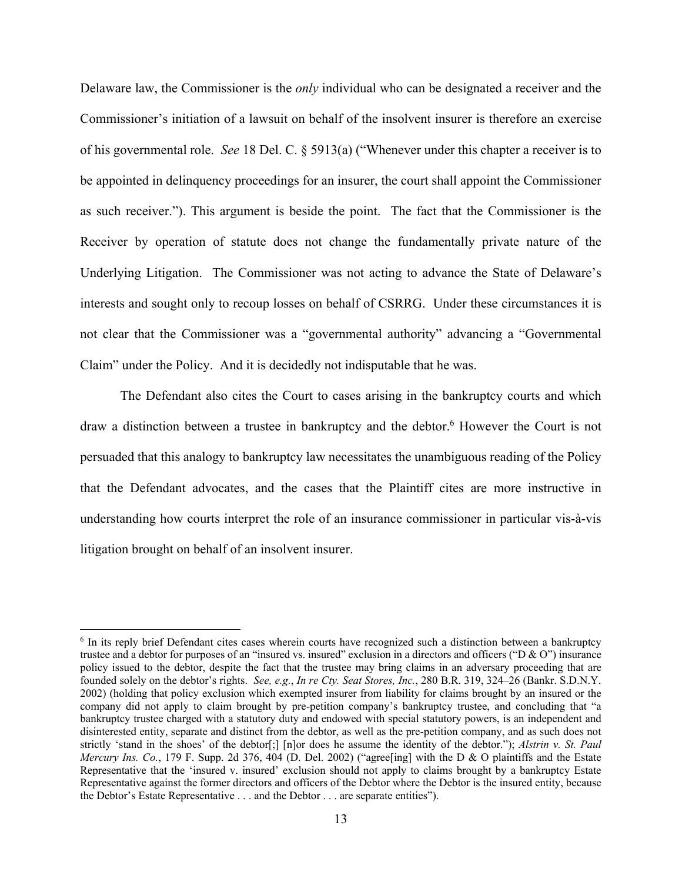Delaware law, the Commissioner is the *only* individual who can be designated a receiver and the Commissioner's initiation of a lawsuit on behalf of the insolvent insurer is therefore an exercise of his governmental role. *See* 18 Del. C. § 5913(a) ("Whenever under this chapter a receiver is to be appointed in delinquency proceedings for an insurer, the court shall appoint the Commissioner as such receiver."). This argument is beside the point. The fact that the Commissioner is the Receiver by operation of statute does not change the fundamentally private nature of the Underlying Litigation. The Commissioner was not acting to advance the State of Delaware's interests and sought only to recoup losses on behalf of CSRRG. Under these circumstances it is not clear that the Commissioner was a "governmental authority" advancing a "Governmental Claim" under the Policy. And it is decidedly not indisputable that he was.

The Defendant also cites the Court to cases arising in the bankruptcy courts and which draw a distinction between a trustee in bankruptcy and the debtor.<sup>6</sup> However the Court is not persuaded that this analogy to bankruptcy law necessitates the unambiguous reading of the Policy that the Defendant advocates, and the cases that the Plaintiff cites are more instructive in understanding how courts interpret the role of an insurance commissioner in particular vis-à-vis litigation brought on behalf of an insolvent insurer.

<sup>&</sup>lt;sup>6</sup> In its reply brief Defendant cites cases wherein courts have recognized such a distinction between a bankruptcy trustee and a debtor for purposes of an "insured vs. insured" exclusion in a directors and officers ("D & O") insurance policy issued to the debtor, despite the fact that the trustee may bring claims in an adversary proceeding that are founded solely on the debtor's rights. *See, e.g.*, *In re Cty. Seat Stores, Inc.*, 280 B.R. 319, 324–26 (Bankr. S.D.N.Y. 2002) (holding that policy exclusion which exempted insurer from liability for claims brought by an insured or the company did not apply to claim brought by pre-petition company's bankruptcy trustee, and concluding that "a bankruptcy trustee charged with a statutory duty and endowed with special statutory powers, is an independent and disinterested entity, separate and distinct from the debtor, as well as the pre-petition company, and as such does not strictly 'stand in the shoes' of the debtor[;] [n]or does he assume the identity of the debtor."); *Alstrin v. St. Paul Mercury Ins. Co.*, 179 F. Supp. 2d 376, 404 (D. Del. 2002) ("agree[ing] with the D & O plaintiffs and the Estate Representative that the 'insured v. insured' exclusion should not apply to claims brought by a bankruptcy Estate Representative against the former directors and officers of the Debtor where the Debtor is the insured entity, because the Debtor's Estate Representative . . . and the Debtor . . . are separate entities").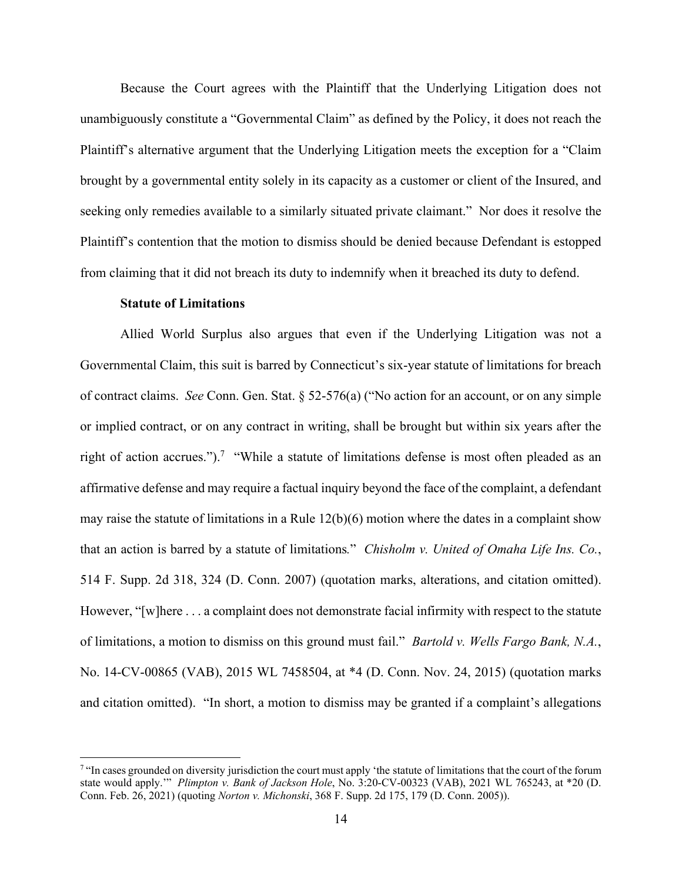Because the Court agrees with the Plaintiff that the Underlying Litigation does not unambiguously constitute a "Governmental Claim" as defined by the Policy, it does not reach the Plaintiff's alternative argument that the Underlying Litigation meets the exception for a "Claim brought by a governmental entity solely in its capacity as a customer or client of the Insured, and seeking only remedies available to a similarly situated private claimant." Nor does it resolve the Plaintiff's contention that the motion to dismiss should be denied because Defendant is estopped from claiming that it did not breach its duty to indemnify when it breached its duty to defend.

### **Statute of Limitations**

Allied World Surplus also argues that even if the Underlying Litigation was not a Governmental Claim, this suit is barred by Connecticut's six-year statute of limitations for breach of contract claims. *See* Conn. Gen. Stat. § 52-576(a) ("No action for an account, or on any simple or implied contract, or on any contract in writing, shall be brought but within six years after the right of action accrues.").<sup>7</sup> "While a statute of limitations defense is most often pleaded as an affirmative defense and may require a factual inquiry beyond the face of the complaint, a defendant may raise the statute of limitations in a Rule 12(b)(6) motion where the dates in a complaint show that an action is barred by a statute of limitations*.*" *Chisholm v. United of Omaha Life Ins. Co.*, 514 F. Supp. 2d 318, 324 (D. Conn. 2007) (quotation marks, alterations, and citation omitted). However, "[w]here . . . a complaint does not demonstrate facial infirmity with respect to the statute of limitations, a motion to dismiss on this ground must fail." *Bartold v. Wells Fargo Bank, N.A.*, No. 14-CV-00865 (VAB), 2015 WL 7458504, at \*4 (D. Conn. Nov. 24, 2015) (quotation marks and citation omitted). "In short, a motion to dismiss may be granted if a complaint's allegations

<sup>&</sup>lt;sup>7</sup> "In cases grounded on diversity jurisdiction the court must apply 'the statute of limitations that the court of the forum state would apply.'" *Plimpton v. Bank of Jackson Hole*, No. 3:20-CV-00323 (VAB), 2021 WL 765243, at \*20 (D. Conn. Feb. 26, 2021) (quoting *Norton v. Michonski*, 368 F. Supp. 2d 175, 179 (D. Conn. 2005)).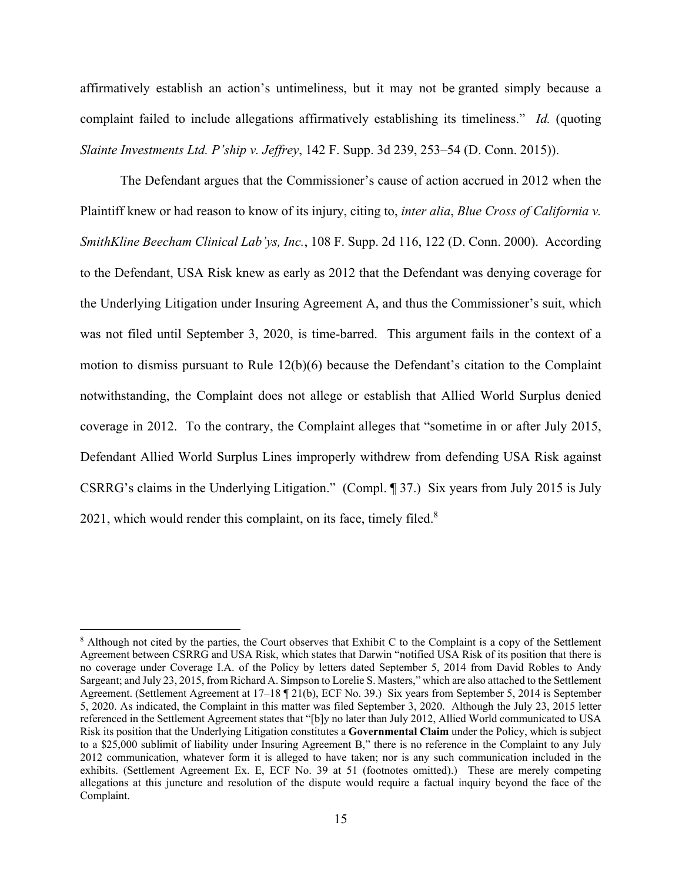affirmatively establish an action's untimeliness, but it may not be granted simply because a complaint failed to include allegations affirmatively establishing its timeliness." *Id.* (quoting *Slainte Investments Ltd. P'ship v. Jeffrey*, 142 F. Supp. 3d 239, 253–54 (D. Conn. 2015)).

The Defendant argues that the Commissioner's cause of action accrued in 2012 when the Plaintiff knew or had reason to know of its injury, citing to, *inter alia*, *Blue Cross of California v. SmithKline Beecham Clinical Lab'ys, Inc.*, 108 F. Supp. 2d 116, 122 (D. Conn. 2000). According to the Defendant, USA Risk knew as early as 2012 that the Defendant was denying coverage for the Underlying Litigation under Insuring Agreement A, and thus the Commissioner's suit, which was not filed until September 3, 2020, is time-barred. This argument fails in the context of a motion to dismiss pursuant to Rule 12(b)(6) because the Defendant's citation to the Complaint notwithstanding, the Complaint does not allege or establish that Allied World Surplus denied coverage in 2012. To the contrary, the Complaint alleges that "sometime in or after July 2015, Defendant Allied World Surplus Lines improperly withdrew from defending USA Risk against CSRRG's claims in the Underlying Litigation." (Compl. ¶ 37.) Six years from July 2015 is July 2021, which would render this complaint, on its face, timely filed. $8$ 

<sup>&</sup>lt;sup>8</sup> Although not cited by the parties, the Court observes that Exhibit C to the Complaint is a copy of the Settlement Agreement between CSRRG and USA Risk, which states that Darwin "notified USA Risk of its position that there is no coverage under Coverage I.A. of the Policy by letters dated September 5, 2014 from David Robles to Andy Sargeant; and July 23, 2015, from Richard A. Simpson to Lorelie S. Masters," which are also attached to the Settlement Agreement. (Settlement Agreement at 17–18 ¶ 21(b), ECF No. 39.) Six years from September 5, 2014 is September 5, 2020. As indicated, the Complaint in this matter was filed September 3, 2020. Although the July 23, 2015 letter referenced in the Settlement Agreement states that "[b]y no later than July 2012, Allied World communicated to USA Risk its position that the Underlying Litigation constitutes a **Governmental Claim** under the Policy, which is subject to a \$25,000 sublimit of liability under Insuring Agreement B," there is no reference in the Complaint to any July 2012 communication, whatever form it is alleged to have taken; nor is any such communication included in the exhibits. (Settlement Agreement Ex. E, ECF No. 39 at 51 (footnotes omitted).) These are merely competing allegations at this juncture and resolution of the dispute would require a factual inquiry beyond the face of the Complaint.